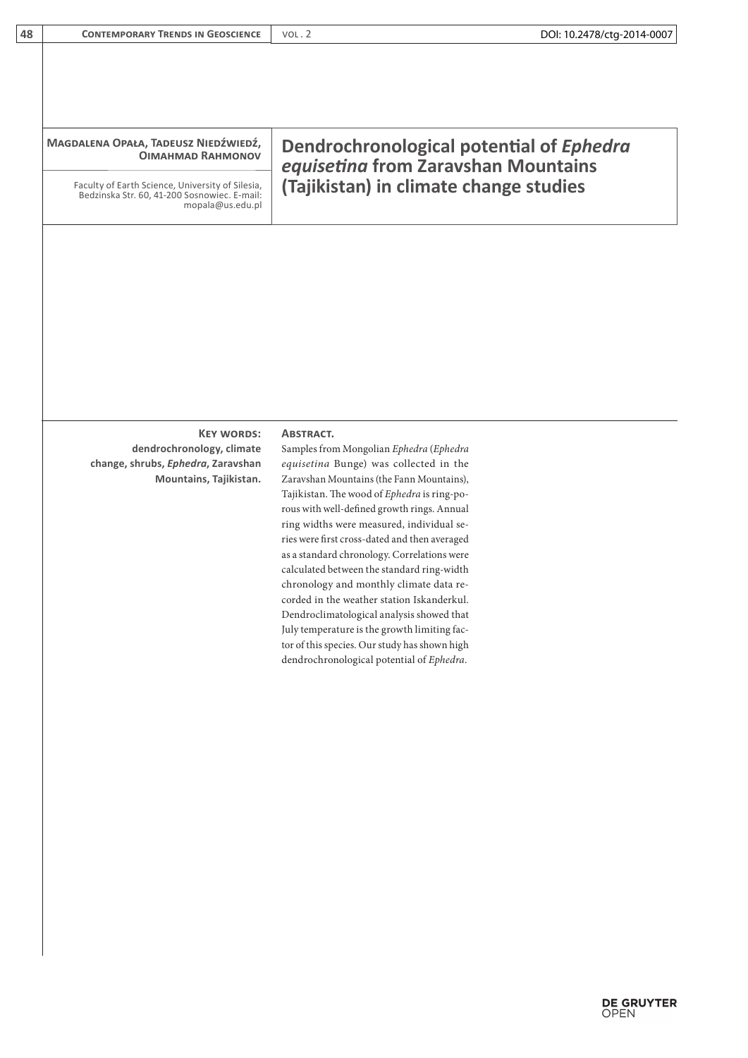| 48 | <b>CONTEMPORARY TRENDS IN GEOSCIENCE</b>                                                                             | DOI: 10.2478/ctg-2014-0007<br>VOL.2                                             |
|----|----------------------------------------------------------------------------------------------------------------------|---------------------------------------------------------------------------------|
|    |                                                                                                                      |                                                                                 |
|    |                                                                                                                      |                                                                                 |
|    |                                                                                                                      |                                                                                 |
|    | MAGDALENA OPAŁA, TADEUSZ NIEDŹWIEDŹ,<br><b>OIMAHMAD RAHMONOV</b>                                                     | Dendrochronological potential of Ephedra<br>equisetina from Zaravshan Mountains |
|    | Faculty of Earth Science, University of Silesia,<br>Bedzinska Str. 60, 41-200 Sosnowiec. E-mail:<br>mopala@us.edu.pl | (Tajikistan) in climate change studies                                          |
|    |                                                                                                                      |                                                                                 |
|    |                                                                                                                      |                                                                                 |
|    |                                                                                                                      |                                                                                 |
|    |                                                                                                                      |                                                                                 |
|    |                                                                                                                      |                                                                                 |
|    |                                                                                                                      |                                                                                 |
|    |                                                                                                                      |                                                                                 |
|    | <b>KEY WORDS:</b>                                                                                                    | <b>ABSTRACT.</b>                                                                |
|    | dendrochronology, climate                                                                                            | Samples from Mongolian Ephedra (Ephedra                                         |
|    | change, shrubs, Ephedra, Zaravshan                                                                                   | equisetina Bunge) was collected in the                                          |
|    | Mountains, Tajikistan.                                                                                               | Zaravshan Mountains (the Fann Mountains),                                       |
|    |                                                                                                                      | Tajikistan. The wood of Ephedra is ring-po-                                     |
|    |                                                                                                                      | rous with well-defined growth rings. Annual                                     |
|    |                                                                                                                      | ring widths were measured, individual se-                                       |
|    |                                                                                                                      | ries were first cross-dated and then averaged                                   |
|    |                                                                                                                      | as a standard chronology. Correlations were                                     |
|    |                                                                                                                      | calculated between the standard ring-width                                      |
|    |                                                                                                                      |                                                                                 |
|    |                                                                                                                      | chronology and monthly climate data re-                                         |

Dendroclimatological analysis showed that July temperature is the growth limiting factor of this species. Our study has shown high dendrochronological potential of *Ephedra*.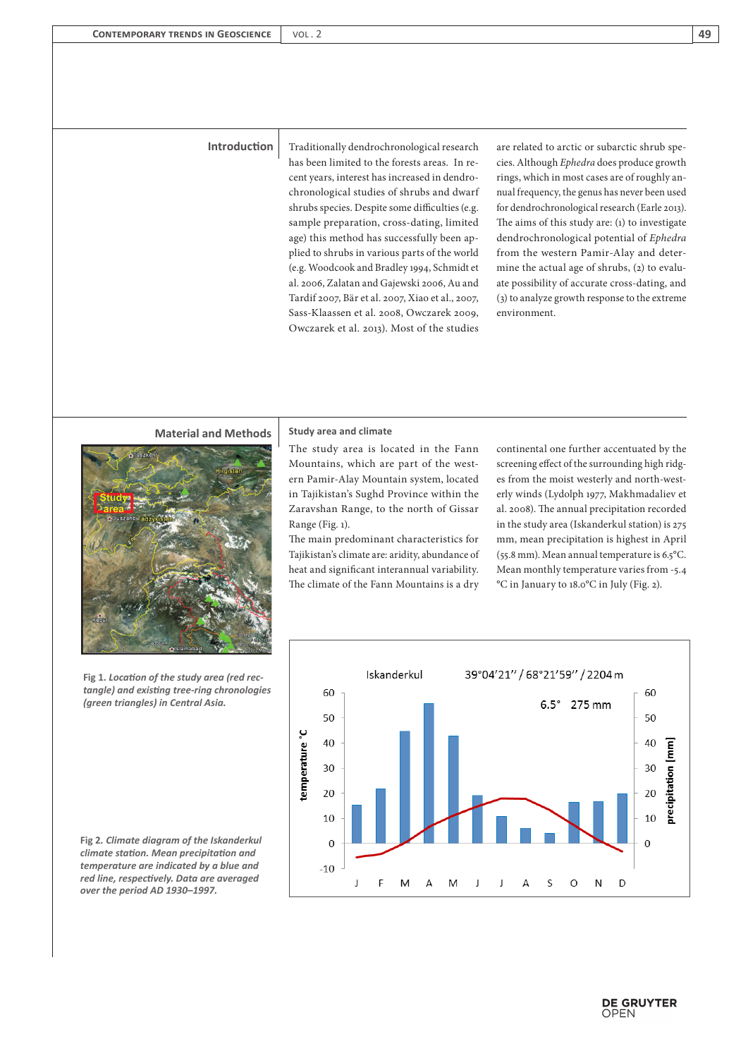**Introduction** Traditionally dendrochronological research has been limited to the forests areas. In recent years, interest has increased in dendrochronological studies of shrubs and dwarf shrubs species. Despite some difficulties (e.g. sample preparation, cross-dating, limited age) this method has successfully been applied to shrubs in various parts of the world (e.g. Woodcook and Bradley 1994, Schmidt et al. 2006, Zalatan and Gajewski 2006, Au and Tardif 2007, Bär et al. 2007, Xiao et al., 2007, Sass-Klaassen et al. 2008, Owczarek 2009, Owczarek et al. 2013). Most of the studies are related to arctic or subarctic shrub species. Although *Ephedra* does produce growth rings, which in most cases are of roughly annual frequency, the genus has never been used for dendrochronological research (Earle 2013). The aims of this study are: (1) to investigate dendrochronological potential of *Ephedra* from the western Pamir-Alay and determine the actual age of shrubs, (2) to evaluate possibility of accurate cross-dating, and (3) to analyze growth response to the extreme environment.

## **Material and Methods** | Study area and climate



**Fig 1.** *Location of the study area (red rectangle) and existing tree-ring chronologies (green triangles) in Central Asia.*

**Fig 2***. Climate diagram of the Iskanderkul climate station. Mean precipitation and temperature are indicated by a blue and red line, respectively. Data are averaged over the period AD 1930–1997.*

The study area is located in the Fann Mountains, which are part of the western Pamir-Alay Mountain system, located in Tajikistan's Sughd Province within the Zaravshan Range, to the north of Gissar Range (Fig. 1).

The main predominant characteristics for Tajikistan's climate are: aridity, abundance of heat and significant interannual variability. The climate of the Fann Mountains is a dry

continental one further accentuated by the screening effect of the surrounding high ridges from the moist westerly and north-westerly winds (Lydolph 1977, Makhmadaliev et al. 2008). The annual precipitation recorded in the study area (Iskanderkul station) is 275 mm, mean precipitation is highest in April (55.8 mm). Mean annual temperature is 6.5°C. Mean monthly temperature varies from -5.4 °C in January to 18.0°C in July (Fig. 2).

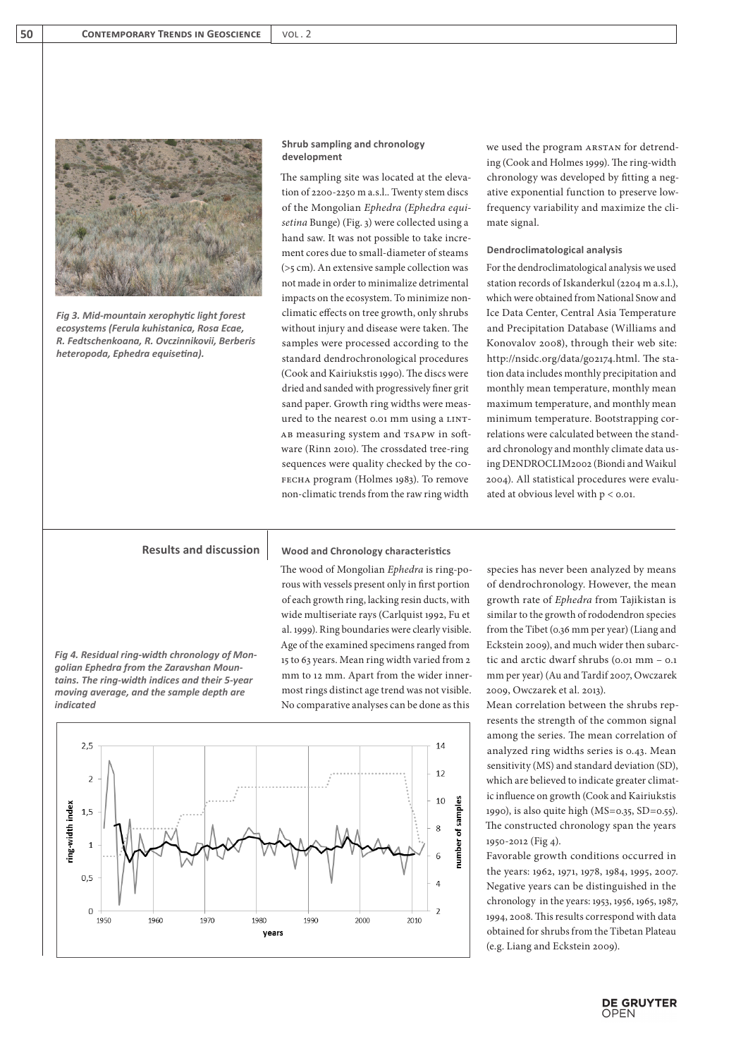

*Fig 3. Mid-mountain xerophytic light forest ecosystems (Ferula kuhistanica, Rosa Ecae, R. Fedtschenkoana, R. Ovczinnikovii, Berberis heteropoda, Ephedra equisetina).*

### **Shrub sampling and chronology development**

The sampling site was located at the elevation of 2200-2250 m a.s.l.. Twenty stem discs of the Mongolian *Ephedra (Ephedra equisetina* Bunge) (Fig. 3) were collected using a hand saw. It was not possible to take increment cores due to small-diameter of steams (>5 cm). An extensive sample collection was not made in order to minimalize detrimental impacts on the ecosystem. To minimize nonclimatic effects on tree growth, only shrubs without injury and disease were taken. The samples were processed according to the standard dendrochronological procedures (Cook and Kairiukstis 1990). The discs were dried and sanded with progressively finer grit sand paper. Growth ring widths were measured to the nearest 0.01 mm using a LINT-AB measuring system and TSAPW in software (Rinn 2010). The crossdated tree-ring sequences were quality checked by the cofecha program (Holmes 1983). To remove non-climatic trends from the raw ring width

we used the program ARSTAN for detrending (Cook and Holmes 1999). The ring-width chronology was developed by fitting a negative exponential function to preserve lowfrequency variability and maximize the climate signal.

### **Dendroclimatological analysis**

For the dendroclimatological analysis we used station records of Iskanderkul (2204 m a.s.l.), which were obtained from National Snow and Ice Data Center, Central Asia Temperature and Precipitation Database (Williams and Konovalov 2008), through their web site: http://nsidc.org/data/g02174.html. The station data includes monthly precipitation and monthly mean temperature, monthly mean maximum temperature, and monthly mean minimum temperature. Bootstrapping correlations were calculated between the standard chronology and monthly climate data using DENDROCLIM2002 (Biondi and Waikul 2004). All statistical procedures were evaluated at obvious level with p < 0.01.

# **Results and discussion**

*Fig 4. Residual ring-width chronology of Mongolian Ephedra from the Zaravshan Mountains. The ring-width indices and their 5-year moving average, and the sample depth are indicated*

**Wood and Chronology characteristics**

The wood of Mongolian *Ephedra* is ring-porous with vessels present only in first portion of each growth ring, lacking resin ducts, with wide multiseriate rays (Carlquist 1992, Fu et al. 1999). Ring boundaries were clearly visible. Age of the examined specimens ranged from 15 to 63 years. Mean ring width varied from 2 mm to 12 mm. Apart from the wider innermost rings distinct age trend was not visible. No comparative analyses can be done as this



species has never been analyzed by means of dendrochronology. However, the mean growth rate of *Ephedra* from Tajikistan is similar to the growth of rododendron species from the Tibet (0.36 mm per year) (Liang and Eckstein 2009), and much wider then subarctic and arctic dwarf shrubs (0.01 mm – 0.1 mm per year) (Au and Tardif 2007, Owczarek 2009, Owczarek et al. 2013).

Mean correlation between the shrubs represents the strength of the common signal among the series. The mean correlation of analyzed ring widths series is 0.43. Mean sensitivity (MS) and standard deviation (SD), which are believed to indicate greater climatic influence on growth (Cook and Kairiukstis 1990), is also quite high (MS=0.35, SD=0.55). The constructed chronology span the years 1950-2012 (Fig 4).

Favorable growth conditions occurred in the years: 1962, 1971, 1978, 1984, 1995, 2007. Negative years can be distinguished in the chronology in the years: 1953, 1956, 1965, 1987, 1994, 2008. This results correspond with data obtained for shrubs from the Tibetan Plateau (e.g. Liang and Eckstein 2009).

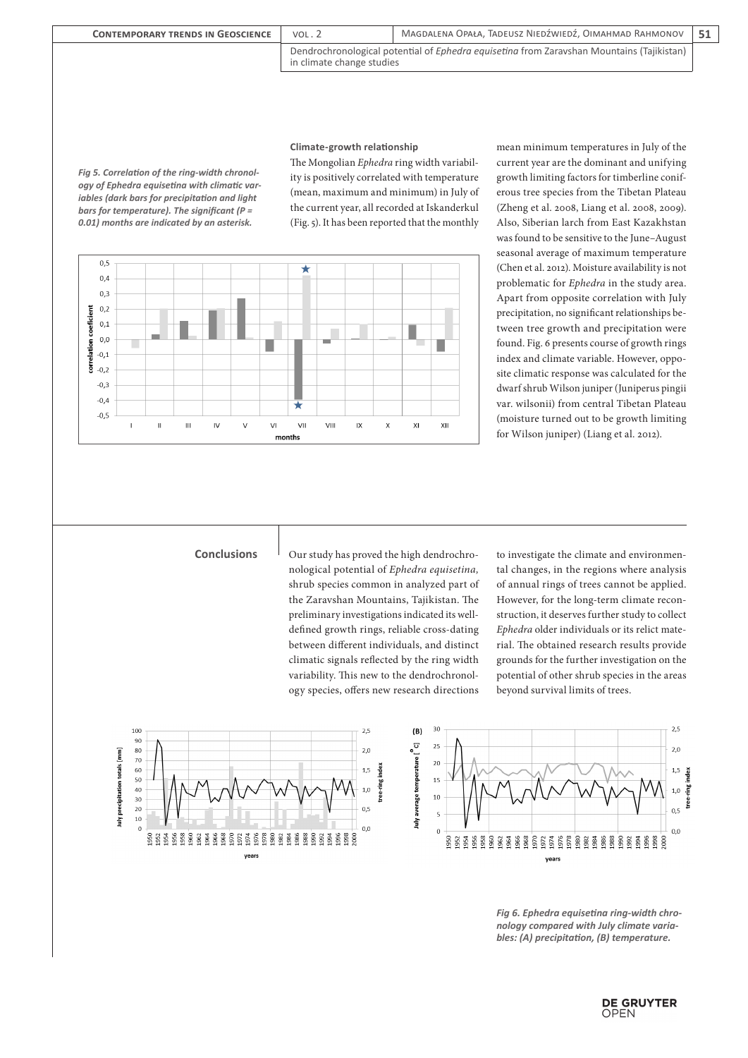| <b>CONTEMPORARY TRENDS IN GEOSCIENCE</b> | VOL.2                                                                                                                         | MAGDALENA OPAŁA. TADEUSZ NIEDŹWIEDŹ. OIMAHMAD RAHMONOV |  |
|------------------------------------------|-------------------------------------------------------------------------------------------------------------------------------|--------------------------------------------------------|--|
|                                          | Dendrochronological potential of <i>Ephedra equisetina</i> from Zaravshan Mountains (Tajikistan)<br>in climate change studies |                                                        |  |

**Climate-growth relationship**

*Fig 5. Correlation of the ring-width chronology of Ephedra equisetina with climatic variables (dark bars for precipitation and light bars for temperature). The significant (P = 0.01) months are indicated by an asterisk.*

> $0.5$  $0,4$

The Mongolian *Ephedra* ring width variability is positively correlated with temperature (mean, maximum and minimum) in July of the current year, all recorded at Iskanderkul (Fig. 5). It has been reported that the monthly mean minimum temperatures in July of the current year are the dominant and unifying growth limiting factors for timberline coniferous tree species from the Tibetan Plateau (Zheng et al. 2008, Liang et al. 2008, 2009). Also, Siberian larch from East Kazakhstan was found to be sensitive to the June–August seasonal average of maximum temperature (Chen et al. 2012). Moisture availability is not problematic for *Ephedra* in the study area. Apart from opposite correlation with July precipitation, no significant relationships between tree growth and precipitation were found. Fig. 6 presents course of growth rings index and climate variable. However, opposite climatic response was calculated for the dwarf shrub Wilson juniper (Juniperus pingii var. wilsonii) from central Tibetan Plateau (moisture turned out to be growth limiting for Wilson juniper) (Liang et al. 2012).

nological potential of *Ephedra equisetina,*  shrub species common in analyzed part of the Zaravshan Mountains, Tajikistan. The preliminary investigations indicated its welldefined growth rings, reliable cross-dating between different individuals, and distinct climatic signals reflected by the ring width variability. This new to the dendrochronology species, offers new research directions

**Conclusions** <br>  $\Box$  Our study has proved the high dendrochro- to investigate the climate and environmental changes, in the regions where analysis of annual rings of trees cannot be applied. However, for the long-term climate reconstruction, it deserves further study to collect *Ephedra* older individuals or its relict material. The obtained research results provide grounds for the further investigation on the potential of other shrub species in the areas beyond survival limits of trees.





*Fig 6. Ephedra equisetina ring-width chronology compared with July climate variables: (A) precipitation, (B) temperature.*